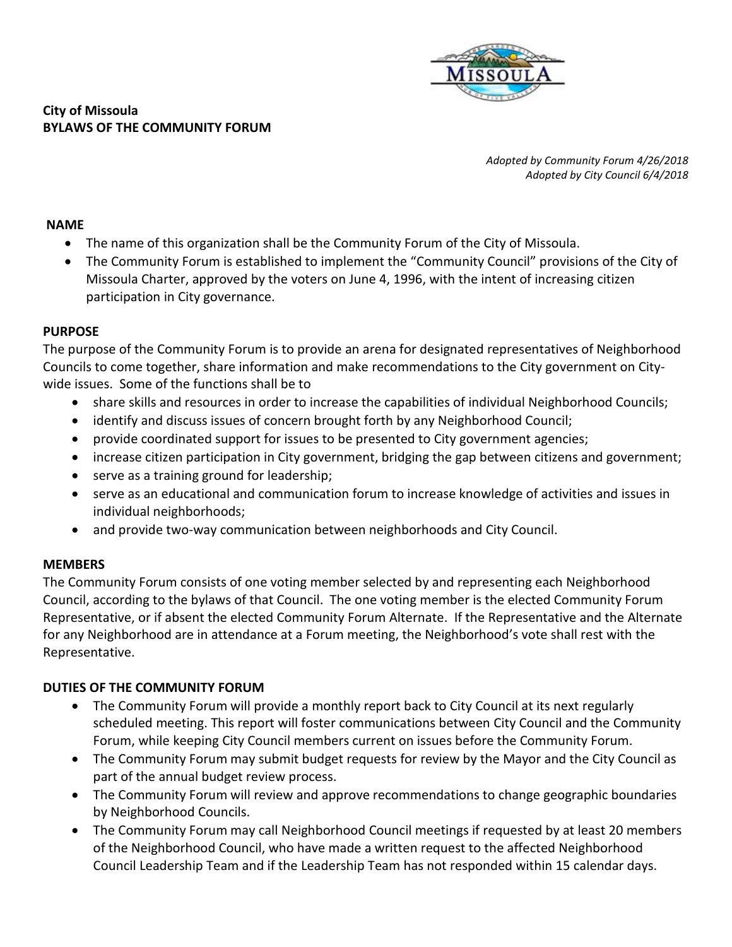

## **City of Missoula BYLAWS OF THE COMMUNITY FORUM**

*Adopted by Community Forum 4/26/2018 Adopted by City Council 6/4/2018*

## **NAME**

- The name of this organization shall be the Community Forum of the City of Missoula.
- The Community Forum is established to implement the "Community Council" provisions of the City of Missoula Charter, approved by the voters on June 4, 1996, with the intent of increasing citizen participation in City governance.

## **PURPOSE**

The purpose of the Community Forum is to provide an arena for designated representatives of Neighborhood Councils to come together, share information and make recommendations to the City government on Citywide issues. Some of the functions shall be to

- share skills and resources in order to increase the capabilities of individual Neighborhood Councils;
- identify and discuss issues of concern brought forth by any Neighborhood Council;
- provide coordinated support for issues to be presented to City government agencies;
- increase citizen participation in City government, bridging the gap between citizens and government;
- serve as a training ground for leadership;
- serve as an educational and communication forum to increase knowledge of activities and issues in individual neighborhoods;
- and provide two-way communication between neighborhoods and City Council.

## **MEMBERS**

The Community Forum consists of one voting member selected by and representing each Neighborhood Council, according to the bylaws of that Council. The one voting member is the elected Community Forum Representative, or if absent the elected Community Forum Alternate. If the Representative and the Alternate for any Neighborhood are in attendance at a Forum meeting, the Neighborhood's vote shall rest with the Representative.

## **DUTIES OF THE COMMUNITY FORUM**

- The Community Forum will provide a monthly report back to City Council at its next regularly scheduled meeting. This report will foster communications between City Council and the Community Forum, while keeping City Council members current on issues before the Community Forum.
- The Community Forum may submit budget requests for review by the Mayor and the City Council as part of the annual budget review process.
- The Community Forum will review and approve recommendations to change geographic boundaries by Neighborhood Councils.
- The Community Forum may call Neighborhood Council meetings if requested by at least 20 members of the Neighborhood Council, who have made a written request to the affected Neighborhood Council Leadership Team and if the Leadership Team has not responded within 15 calendar days.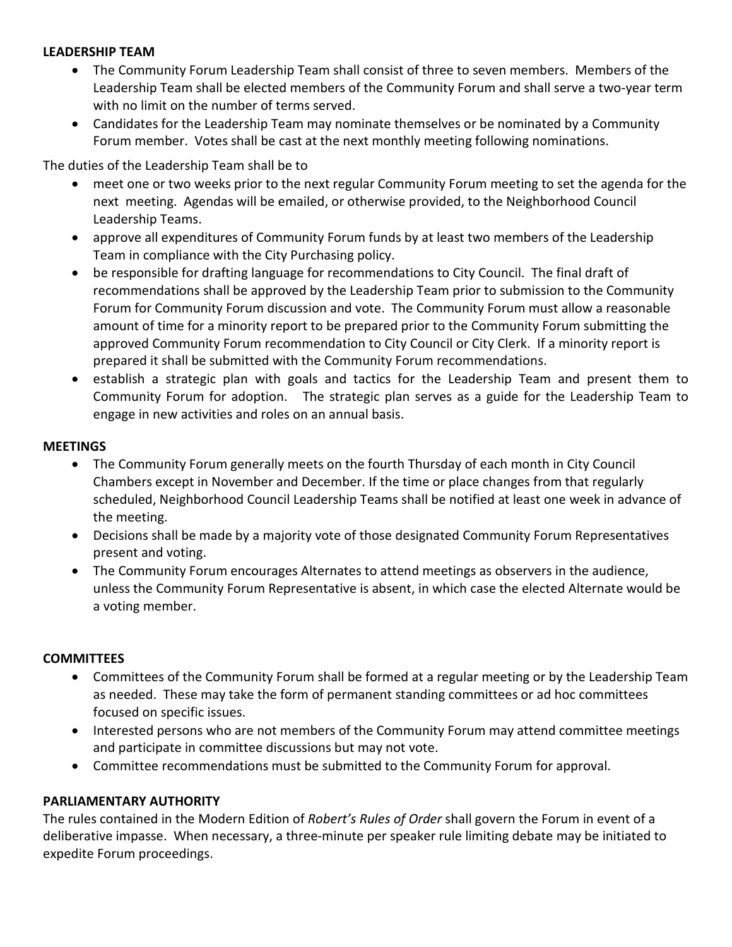## **LEADERSHIP TEAM**

- The Community Forum Leadership Team shall consist of three to seven members. Members of the Leadership Team shall be elected members of the Community Forum and shall serve a two-year term with no limit on the number of terms served.
- Candidates for the Leadership Team may nominate themselves or be nominated by a Community Forum member. Votes shall be cast at the next monthly meeting following nominations.

The duties of the Leadership Team shall be to

- meet one or two weeks prior to the next regular Community Forum meeting to set the agenda for the next meeting. Agendas will be emailed, or otherwise provided, to the Neighborhood Council Leadership Teams.
- approve all expenditures of Community Forum funds by at least two members of the Leadership Team in compliance with the City Purchasing policy.
- be responsible for drafting language for recommendations to City Council. The final draft of recommendations shall be approved by the Leadership Team prior to submission to the Community Forum for Community Forum discussion and vote. The Community Forum must allow a reasonable amount of time for a minority report to be prepared prior to the Community Forum submitting the approved Community Forum recommendation to City Council or City Clerk. If a minority report is prepared it shall be submitted with the Community Forum recommendations.
- establish a strategic plan with goals and tactics for the Leadership Team and present them to Community Forum for adoption. The strategic plan serves as a guide for the Leadership Team to engage in new activities and roles on an annual basis.

#### **MEETINGS**

- The Community Forum generally meets on the fourth Thursday of each month in City Council Chambers except in November and December. If the time or place changes from that regularly scheduled, Neighborhood Council Leadership Teams shall be notified at least one week in advance of the meeting.
- Decisions shall be made by a majority vote of those designated Community Forum Representatives present and voting.
- The Community Forum encourages Alternates to attend meetings as observers in the audience, unless the Community Forum Representative is absent, in which case the elected Alternate would be a voting member.

#### **COMMITTEES**

- Committees of the Community Forum shall be formed at a regular meeting or by the Leadership Team as needed. These may take the form of permanent standing committees or ad hoc committees focused on specific issues.
- Interested persons who are not members of the Community Forum may attend committee meetings and participate in committee discussions but may not vote.
- Committee recommendations must be submitted to the Community Forum for approval.

## **PARLIAMENTARY AUTHORITY**

The rules contained in the Modern Edition of *Robert's Rules of Order* shall govern the Forum in event of a deliberative impasse. When necessary, a three-minute per speaker rule limiting debate may be initiated to expedite Forum proceedings.